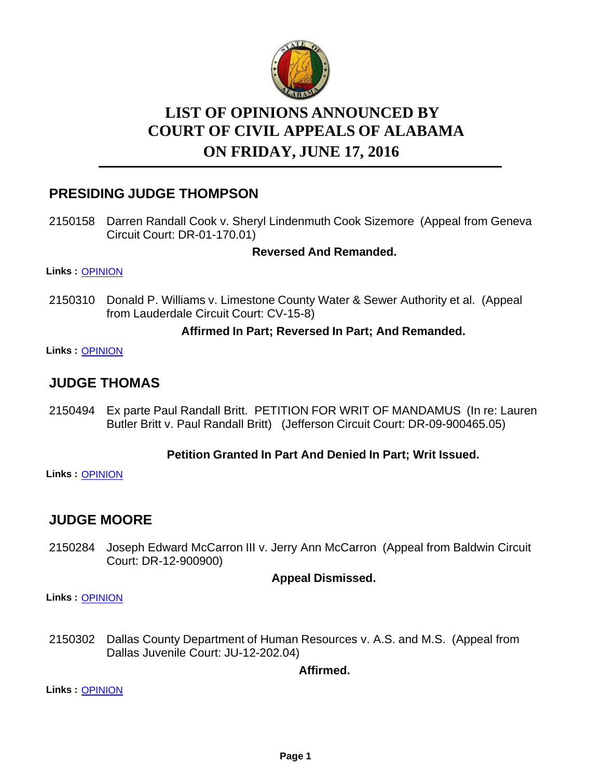

# **LIST OF OPINIONS ANNOUNCED BY COURT OF CIVIL APPEALS OF ALABAMA ON FRIDAY, JUNE 17, 2016**

# **PRESIDING JUDGE THOMPSON**

2150158 Darren Randall Cook v. Sheryl Lindenmuth Cook Sizemore (Appeal from Geneva Circuit Court: DR-01-170.01)

### **Reversed And Remanded.**

**Links :** [OPINION](https://acis.alabama.gov/displaydocs.cfm?no=742845&event=4NT0L7BIW)

2150310 Donald P. Williams v. Limestone County Water & Sewer Authority et al. (Appeal from Lauderdale Circuit Court: CV-15-8)

### **Affirmed In Part; Reversed In Part; And Remanded.**

**Links :** [OPINION](https://acis.alabama.gov/displaydocs.cfm?no=742848&event=4NT0L7C3P)

## **JUDGE THOMAS**

2150494 Ex parte Paul Randall Britt. PETITION FOR WRIT OF MANDAMUS (In re: Lauren Butler Britt v. Paul Randall Britt) (Jefferson Circuit Court: DR-09-900465.05)

### **Petition Granted In Part And Denied In Part; Writ Issued.**

**Links :** [OPINION](https://acis.alabama.gov/displaydocs.cfm?no=742849&event=4NT0L7CAL)

# **JUDGE MOORE**

2150284 Joseph Edward McCarron III v. Jerry Ann McCarron (Appeal from Baldwin Circuit Court: DR-12-900900)

#### **Appeal Dismissed.**

**Links :** [OPINION](https://acis.alabama.gov/displaydocs.cfm?no=742846&event=4NT0L7BPS)

2150302 Dallas County Department of Human Resources v. A.S. and M.S. (Appeal from Dallas Juvenile Court: JU-12-202.04)

**Affirmed.**

**Links :** [OPINION](https://acis.alabama.gov/displaydocs.cfm?no=742847&event=4NT0L7BX7)